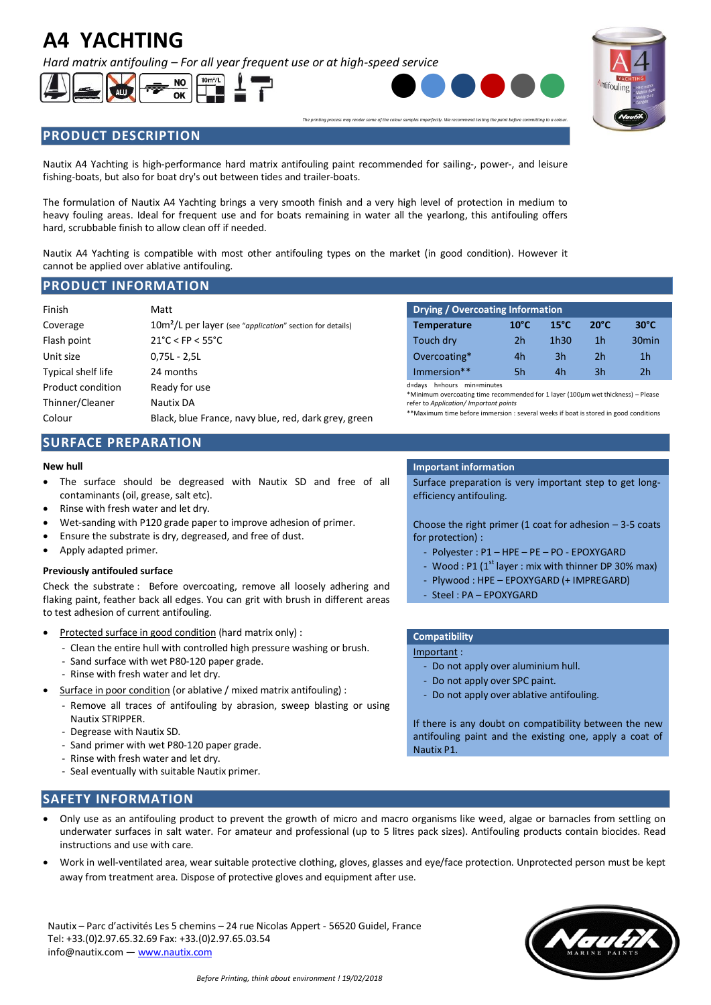# **A4 YACHTING**

*Hard matrix antifouling – For all year frequent use or at high-speed service*





*The printing process may render some of the colour samples imperfectly. We recommend testing the paint before committing to a colour.*



# **PRODUCT DESCRIPTION**

Nautix A4 Yachting is high-performance hard matrix antifouling paint recommended for sailing-, power-, and leisure fishing-boats, but also for boat dry's out between tides and trailer-boats.

The formulation of Nautix A4 Yachting brings a very smooth finish and a very high level of protection in medium to heavy fouling areas. Ideal for frequent use and for boats remaining in water all the yearlong, this antifouling offers hard, scrubbable finish to allow clean off if needed.

Nautix A4 Yachting is compatible with most other antifouling types on the market (in good condition). However it cannot be applied over ablative antifouling.

## **PRODUCT INFORMATION**

| Finish             | Matt                                                                  | Drying / Overcoating Information                                                                                                                                                                                                                |                |                  |                |                   |  |  |
|--------------------|-----------------------------------------------------------------------|-------------------------------------------------------------------------------------------------------------------------------------------------------------------------------------------------------------------------------------------------|----------------|------------------|----------------|-------------------|--|--|
| Coverage           | 10m <sup>2</sup> /L per layer (see "application" section for details) | <b>Temperature</b>                                                                                                                                                                                                                              | $10^{\circ}$ C | $15^{\circ}$ C   | $20^{\circ}$ C | $30^{\circ}$ C    |  |  |
| Flash point        | $21^{\circ}$ C < FP < 55 $^{\circ}$ C                                 | Touch dry                                                                                                                                                                                                                                       | 2h             | 1h <sub>30</sub> | 1 <sub>h</sub> | 30 <sub>min</sub> |  |  |
| Unit size          | $0.75L - 2.5L$                                                        | Overcoating*                                                                                                                                                                                                                                    | 4h             | 3h               | 2 <sub>h</sub> | 1 <sub>h</sub>    |  |  |
| Typical shelf life | 24 months                                                             | Immersion**                                                                                                                                                                                                                                     | 5h             | 4h               | 3h             | 2h                |  |  |
| Product condition  | Ready for use                                                         | d=days h=hours min=minutes<br>*Minimum overcoating time recommended for 1 layer (100µm wet thickness) - Please<br>refer to Application/ Important points<br>**Maximum time before immersion : several weeks if boat is stored in good condition |                |                  |                |                   |  |  |
| Thinner/Cleaner    | Nautix DA                                                             |                                                                                                                                                                                                                                                 |                |                  |                |                   |  |  |
| Colour             | Black, blue France, navy blue, red, dark grey, green                  |                                                                                                                                                                                                                                                 |                |                  |                |                   |  |  |

| <b>Drying / Overcoating Information</b> |                |                |                |                   |  |  |  |  |  |
|-----------------------------------------|----------------|----------------|----------------|-------------------|--|--|--|--|--|
| <b>Temperature</b>                      | $10^{\circ}$ C | $15^{\circ}$ C | $20^{\circ}$ C | $30^{\circ}$ C    |  |  |  |  |  |
| Touch dry                               | 2h             | 1h30           | 1h             | 30 <sub>min</sub> |  |  |  |  |  |
| Overcoating*                            | 4h             | 3h             | 2h             | 1 <sub>h</sub>    |  |  |  |  |  |
| $Immarcion**$                           | 5h             | Лh             | Зh             | 7h                |  |  |  |  |  |

# **SURFACE PREPARATION**

- The surface should be degreased with Nautix SD and free of all contaminants (oil, grease, salt etc).
- Rinse with fresh water and let dry.
- Wet-sanding with P120 grade paper to improve adhesion of primer.
- Ensure the substrate is dry, degreased, and free of dust.
- Apply adapted primer.

### **Previously antifouled surface**

Check the substrate : Before overcoating, remove all loosely adhering and flaking paint, feather back all edges. You can grit with brush in different areas to test adhesion of current antifouling.

- Protected surface in good condition (hard matrix only) :
	- Clean the entire hull with controlled high pressure washing or brush.
	- Sand surface with wet P80-120 paper grade.
	- Rinse with fresh water and let dry.
- Surface in poor condition (or ablative / mixed matrix antifouling) :
	- Remove all traces of antifouling by abrasion, sweep blasting or using Nautix STRIPPER.
	- Degrease with Nautix SD.
	- Sand primer with wet P80-120 paper grade.
	- Rinse with fresh water and let dry.
	- Seal eventually with suitable Nautix primer.

### **New hull Important information**

Surface preparation is very important step to get longefficiency antifouling.

Choose the right primer (1 coat for adhesion  $-3-5$  coats for protection) :

- Polyester : P1 HPE PE PO EPOXYGARD
- Wood : P1  $(1^{\text{st}}$  layer : mix with thinner DP 30% max)
- Plywood : HPE EPOXYGARD (+ IMPREGARD)
- Steel : PA EPOXYGARD

### **Compatibility**

Important :

- Do not apply over aluminium hull.
- Do not apply over SPC paint.
- Do not apply over ablative antifouling.

If there is any doubt on compatibility between the new antifouling paint and the existing one, apply a coat of Nautix P1.

# **SAFETY INFORMATION**

- Only use as an antifouling product to prevent the growth of micro and macro organisms like weed, algae or barnacles from settling on underwater surfaces in salt water. For amateur and professional (up to 5 litres pack sizes). Antifouling products contain biocides. Read instructions and use with care.
- Work in well-ventilated area, wear suitable protective clothing, gloves, glasses and eye/face protection. Unprotected person must be kept away from treatment area. Dispose of protective gloves and equipment after use.

Nautix – Parc d'activités Les 5 chemins – 24 rue Nicolas Appert - 56520 Guidel, France Tel: +33.(0)2.97.65.32.69 Fax: +33.(0)2.97.65.03.54 info@nautix.com — www.nautix.com